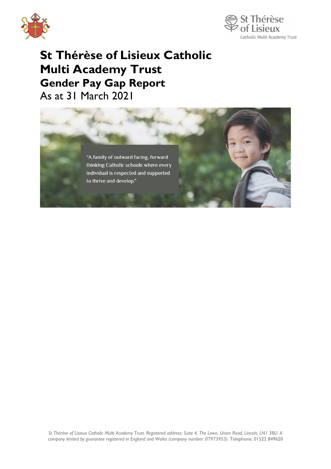



## **St Thérèse of Lisieux Catholic Multi Academy Trust Gender Pay Gap Report**  As at 31 March 2021

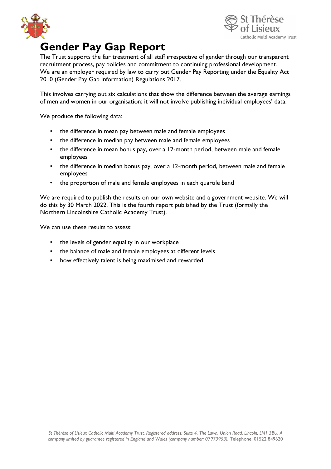



## **Gender Pay Gap Report**

The Trust supports the fair treatment of all staff irrespective of gender through our transparent recruitment process, pay policies and commitment to continuing professional development. We are an employer required by law to carry out Gender Pay Reporting under the Equality Act 2010 (Gender Pay Gap Information) Regulations 2017.

This involves carrying out six calculations that show the difference between the average earnings of men and women in our organisation; it will not involve publishing individual employees' data.

We produce the following data:

- the difference in mean pay between male and female employees
- the difference in median pay between male and female employees
- the difference in mean bonus pay, over a 12-month period, between male and female employees
- the difference in median bonus pay, over a 12-month period, between male and female employees
- the proportion of male and female employees in each quartile band

We are required to publish the results on our own website and a government website. We will do this by 30 March 2022. This is the fourth report published by the Trust (formally the Northern Lincolnshire Catholic Academy Trust).

We can use these results to assess:

- the levels of gender equality in our workplace
- the balance of male and female employees at different levels
- how effectively talent is being maximised and rewarded.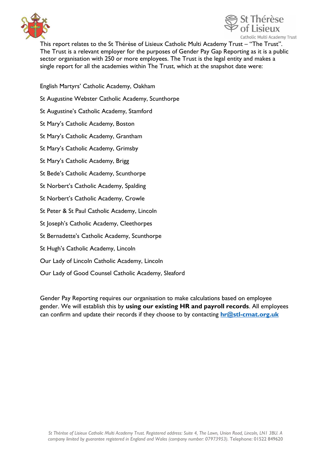



This report relates to the St Thérèse of Lisieux Catholic Multi Academy Trust – "The Trust". The Trust is a relevant employer for the purposes of Gender Pay Gap Reporting as it is a public sector organisation with 250 or more employees. The Trust is the legal entity and makes a single report for all the academies within The Trust, which at the snapshot date were:

English Martyrs' Catholic Academy, Oakham

St Augustine Webster Catholic Academy, Scunthorpe

St Augustine's Catholic Academy, Stamford

St Mary's Catholic Academy, Boston

St Mary's Catholic Academy, Grantham

St Mary's Catholic Academy, Grimsby

St Mary's Catholic Academy, Brigg

St Bede's Catholic Academy, Scunthorpe

St Norbert's Catholic Academy, Spalding

St Norbert's Catholic Academy, Crowle

St Peter & St Paul Catholic Academy, Lincoln

St Joseph's Catholic Academy, Cleethorpes

St Bernadette's Catholic Academy, Scunthorpe

St Hugh's Catholic Academy, Lincoln

Our Lady of Lincoln Catholic Academy, Lincoln

Our Lady of Good Counsel Catholic Academy, Sleaford

Gender Pay Reporting requires our organisation to make calculations based on employee gender. We will establish this by **using our existing HR and payroll records**. All employees can confirm and update their records if they choose to by contacting **[hr@stl-cmat.org.uk](mailto:hr@stl-cmat.org.uk)**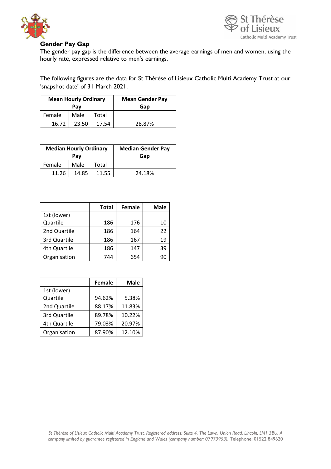



## **Gender Pay Gap**

The gender pay gap is the difference between the average earnings of men and women, using the hourly rate, expressed relative to men's earnings.

The following figures are the data for St Thérèse of Lisieux Catholic Multi Academy Trust at our 'snapshot date' of 31 March 2021.

| <b>Mean Hourly Ordinary</b> |       |       | <b>Mean Gender Pay</b> |
|-----------------------------|-------|-------|------------------------|
| Pav                         |       | Gap   |                        |
| Female                      | Male  | Total |                        |
| 16.72                       | 23.50 | 17.54 | 28.87%                 |

| <b>Median Hourly Ordinary</b><br>Pay |       |       | <b>Median Gender Pay</b><br>Gap |
|--------------------------------------|-------|-------|---------------------------------|
| Female                               | Male  | Total |                                 |
| 11.26                                | 14.85 | 11.55 | 24.18%                          |

|              | <b>Total</b> | <b>Female</b> | <b>Male</b> |
|--------------|--------------|---------------|-------------|
| 1st (lower)  |              |               |             |
| Quartile     | 186          | 176           | 10          |
| 2nd Quartile | 186          | 164           | 22          |
| 3rd Quartile | 186          | 167           | 19          |
| 4th Quartile | 186          | 147           | 39          |
| Organisation | 744          | 654           | 90          |

|              | Female | <b>Male</b> |
|--------------|--------|-------------|
| 1st (lower)  |        |             |
| Quartile     | 94.62% | 5.38%       |
| 2nd Quartile | 88.17% | 11.83%      |
| 3rd Quartile | 89.78% | 10.22%      |
| 4th Quartile | 79.03% | 20.97%      |
| Organisation | 87.90% | 12.10%      |